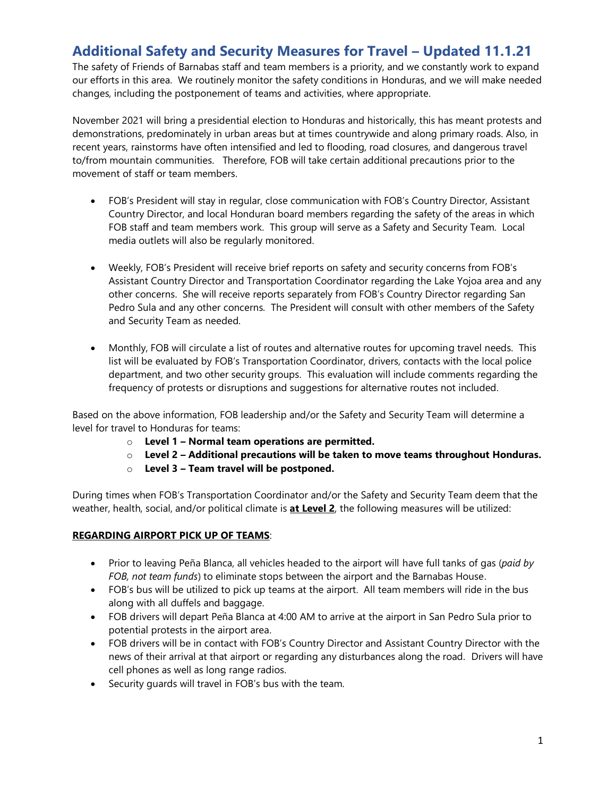# **Additional Safety and Security Measures for Travel – Updated 11.1.21**

The safety of Friends of Barnabas staff and team members is a priority, and we constantly work to expand our efforts in this area. We routinely monitor the safety conditions in Honduras, and we will make needed changes, including the postponement of teams and activities, where appropriate.

November 2021 will bring a presidential election to Honduras and historically, this has meant protests and demonstrations, predominately in urban areas but at times countrywide and along primary roads. Also, in recent years, rainstorms have often intensified and led to flooding, road closures, and dangerous travel to/from mountain communities. Therefore, FOB will take certain additional precautions prior to the movement of staff or team members.

- FOB's President will stay in regular, close communication with FOB's Country Director, Assistant Country Director, and local Honduran board members regarding the safety of the areas in which FOB staff and team members work. This group will serve as a Safety and Security Team. Local media outlets will also be regularly monitored.
- Weekly, FOB's President will receive brief reports on safety and security concerns from FOB's Assistant Country Director and Transportation Coordinator regarding the Lake Yojoa area and any other concerns. She will receive reports separately from FOB's Country Director regarding San Pedro Sula and any other concerns. The President will consult with other members of the Safety and Security Team as needed.
- Monthly, FOB will circulate a list of routes and alternative routes for upcoming travel needs. This list will be evaluated by FOB's Transportation Coordinator, drivers, contacts with the local police department, and two other security groups. This evaluation will include comments regarding the frequency of protests or disruptions and suggestions for alternative routes not included.

Based on the above information, FOB leadership and/or the Safety and Security Team will determine a level for travel to Honduras for teams:

- o **Level 1 – Normal team operations are permitted.**
- o **Level 2 – Additional precautions will be taken to move teams throughout Honduras.**
- o **Level 3 – Team travel will be postponed.**

During times when FOB's Transportation Coordinator and/or the Safety and Security Team deem that the weather, health, social, and/or political climate is **at Level 2**, the following measures will be utilized:

## **REGARDING AIRPORT PICK UP OF TEAMS**:

- Prior to leaving Peña Blanca, all vehicles headed to the airport will have full tanks of gas (*paid by FOB, not team funds*) to eliminate stops between the airport and the Barnabas House.
- FOB's bus will be utilized to pick up teams at the airport. All team members will ride in the bus along with all duffels and baggage.
- FOB drivers will depart Peña Blanca at 4:00 AM to arrive at the airport in San Pedro Sula prior to potential protests in the airport area.
- FOB drivers will be in contact with FOB's Country Director and Assistant Country Director with the news of their arrival at that airport or regarding any disturbances along the road. Drivers will have cell phones as well as long range radios.
- Security guards will travel in FOB's bus with the team.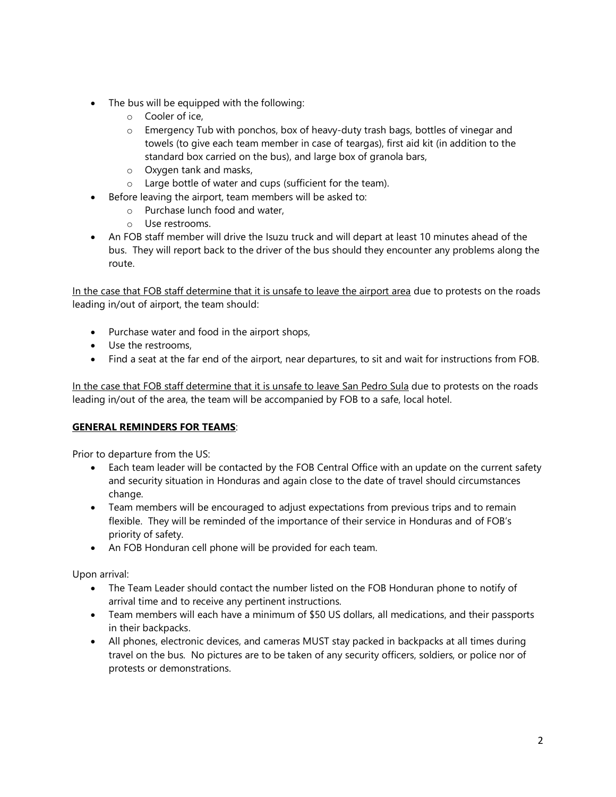- The bus will be equipped with the following:
	- o Cooler of ice,
	- $\circ$  Emergency Tub with ponchos, box of heavy-duty trash bags, bottles of vinegar and towels (to give each team member in case of teargas), first aid kit (in addition to the standard box carried on the bus), and large box of granola bars,
	- o Oxygen tank and masks,
	- o Large bottle of water and cups (sufficient for the team).
- Before leaving the airport, team members will be asked to:
	- o Purchase lunch food and water,
	- o Use restrooms.
- An FOB staff member will drive the Isuzu truck and will depart at least 10 minutes ahead of the bus. They will report back to the driver of the bus should they encounter any problems along the route.

In the case that FOB staff determine that it is unsafe to leave the airport area due to protests on the roads leading in/out of airport, the team should:

- Purchase water and food in the airport shops,
- Use the restrooms,
- Find a seat at the far end of the airport, near departures, to sit and wait for instructions from FOB.

In the case that FOB staff determine that it is unsafe to leave San Pedro Sula due to protests on the roads leading in/out of the area, the team will be accompanied by FOB to a safe, local hotel.

## **GENERAL REMINDERS FOR TEAMS**:

Prior to departure from the US:

- Each team leader will be contacted by the FOB Central Office with an update on the current safety and security situation in Honduras and again close to the date of travel should circumstances change.
- Team members will be encouraged to adjust expectations from previous trips and to remain flexible. They will be reminded of the importance of their service in Honduras and of FOB's priority of safety.
- An FOB Honduran cell phone will be provided for each team.

Upon arrival:

- The Team Leader should contact the number listed on the FOB Honduran phone to notify of arrival time and to receive any pertinent instructions.
- Team members will each have a minimum of \$50 US dollars, all medications, and their passports in their backpacks.
- All phones, electronic devices, and cameras MUST stay packed in backpacks at all times during travel on the bus. No pictures are to be taken of any security officers, soldiers, or police nor of protests or demonstrations.